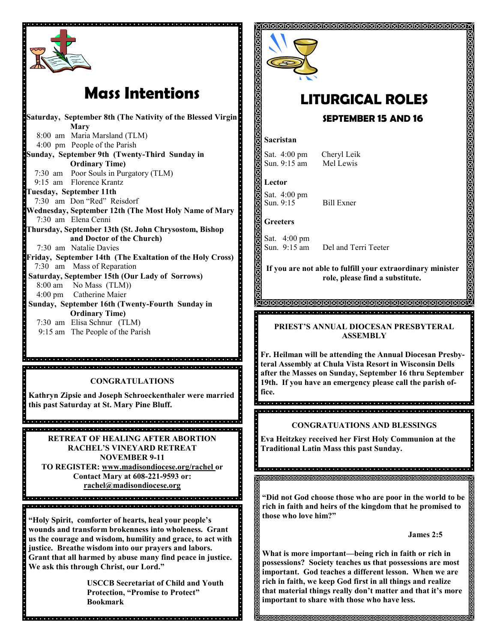

## **Mass Intentions**

**Saturday, September 8th (The Nativity of the Blessed Virgin Mary** 8:00 am Maria Marsland (TLM) 4:00 pm People of the Parish **Sunday, September 9th (Twenty-Third Sunday in Ordinary Time)** 7:30 am Poor Souls in Purgatory (TLM) 9:15 am Florence Krantz **Tuesday, September 11th** 7:30 am Don "Red" Reisdorf **Wednesday, September 12th (The Most Holy Name of Mary** 7:30 am Elena Cenni **Thursday, September 13th (St. John Chrysostom, Bishop and Doctor of the Church)** 7:30 am Natalie Davies **Friday, September 14th (The Exaltation of the Holy Cross)** 7:30 am Mass of Reparation **Saturday, September 15th (Our Lady of Sorrows)** 8:00 am No Mass (TLM)) 4:00 pm Catherine Maier **Sunday, September 16th (Twenty-Fourth Sunday in Ordinary Time)** 7:30 am Elisa Schnur (TLM)

9:15 am The People of the Parish

**CONGRATULATIONS**

a ciencia de del ciencio de la dicio del ciencio del ciencio del ciencio del ciencio del ciencio del ciencio

**Kathryn Zipsie and Joseph Schroeckenthaler were married this past Saturday at St. Mary Pine Bluff.**

**RETREAT OF HEALING AFTER ABORTION RACHEL'S VINEYARD RETREAT NOVEMBER 9-11 TO REGISTER: www.madisondiocese.org/rachel or Contact Mary at 608-221-9593 or: rachel@madisondiocese.org**

a la la la fata la la la fata la fata la fata la fata la fata la fata la fata la fata la fata la fata la fata la fata la 

**"Holy Spirit, comforter of hearts, heal your people's wounds and transform brokenness into wholeness. Grant us the courage and wisdom, humility and grace, to act with justice. Breathe wisdom into our prayers and labors. Grant that all harmed by abuse many find peace in justice. We ask this through Christ, our Lord."**

**USCCB Secretariat of Child and Youth Protection, "Promise to Protect" Bookmark**



# **LITURGICAL ROLES**

#### **SEPTEMBER 15 AND 16**

#### **Sacristan**

Sat. 4:00 pm Cheryl Leik Sun. 9:15 am Mel Lewis

**Lector** Sat. 4:00 pm Sun. 9:15 Bill Exner

**Greeters**

 $\blacksquare$ 

 $\ddot{\cdot}$ 

Sat. 4:00 pm<br>Sun. 9:15 am Del and Terri Teeter

**If you are not able to fulfill your extraordinary minister role, please find a substitute.** 

**TAAAAAAAAAAAAAAAAAAAAAAAA** 

**PRIEST'S ANNUAL DIOCESAN PRESBYTERAL ASSEMBLY** 

**Fr. Heilman will be attending the Annual Diocesan Presbyteral Assembly at Chula Vista Resort in Wisconsin Dells after the Masses on Sunday, September 16 thru September 19th. If you have an emergency please call the parish office.** 

#### **CONGRATUATIONS AND BLESSINGS**

**Eva Heitzkey received her First Holy Communion at the Traditional Latin Mass this past Sunday.** 

**"Did not God choose those who are poor in the world to be rich in faith and heirs of the kingdom that he promised to those who love him?"**

#### **James 2:5**

**What is more important—being rich in faith or rich in possessions? Society teaches us that possessions are most important. God teaches a different lesson. When we are rich in faith, we keep God first in all things and realize that material things really don't matter and that it's more important to share with those who have less.**

**MAMAMAMAMAMAMAMAMA**